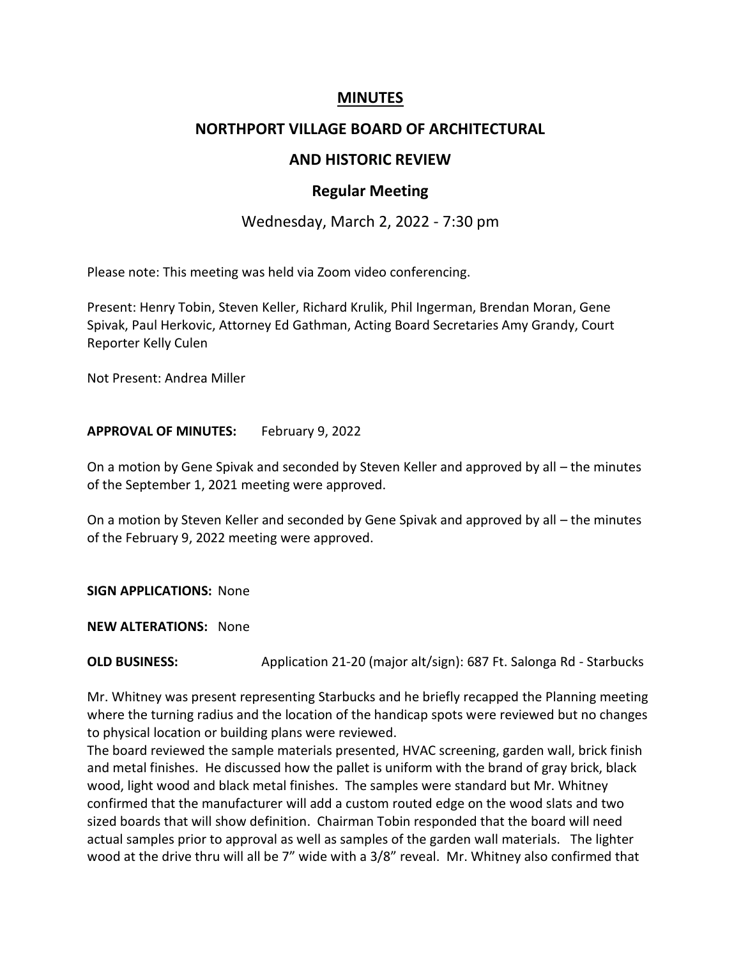## **MINUTES**

### **NORTHPORT VILLAGE BOARD OF ARCHITECTURAL**

# **AND HISTORIC REVIEW**

#### **Regular Meeting**

## Wednesday, March 2, 2022 - 7:30 pm

Please note: This meeting was held via Zoom video conferencing.

Present: Henry Tobin, Steven Keller, Richard Krulik, Phil Ingerman, Brendan Moran, Gene Spivak, Paul Herkovic, Attorney Ed Gathman, Acting Board Secretaries Amy Grandy, Court Reporter Kelly Culen

Not Present: Andrea Miller

#### **APPROVAL OF MINUTES:** February 9, 2022

On a motion by Gene Spivak and seconded by Steven Keller and approved by all – the minutes of the September 1, 2021 meeting were approved.

On a motion by Steven Keller and seconded by Gene Spivak and approved by all – the minutes of the February 9, 2022 meeting were approved.

**SIGN APPLICATIONS:** None

**NEW ALTERATIONS:** None

**OLD BUSINESS:** Application 21-20 (major alt/sign): 687 Ft. Salonga Rd - Starbucks

Mr. Whitney was present representing Starbucks and he briefly recapped the Planning meeting where the turning radius and the location of the handicap spots were reviewed but no changes to physical location or building plans were reviewed.

The board reviewed the sample materials presented, HVAC screening, garden wall, brick finish and metal finishes. He discussed how the pallet is uniform with the brand of gray brick, black wood, light wood and black metal finishes. The samples were standard but Mr. Whitney confirmed that the manufacturer will add a custom routed edge on the wood slats and two sized boards that will show definition. Chairman Tobin responded that the board will need actual samples prior to approval as well as samples of the garden wall materials. The lighter wood at the drive thru will all be 7" wide with a 3/8" reveal. Mr. Whitney also confirmed that